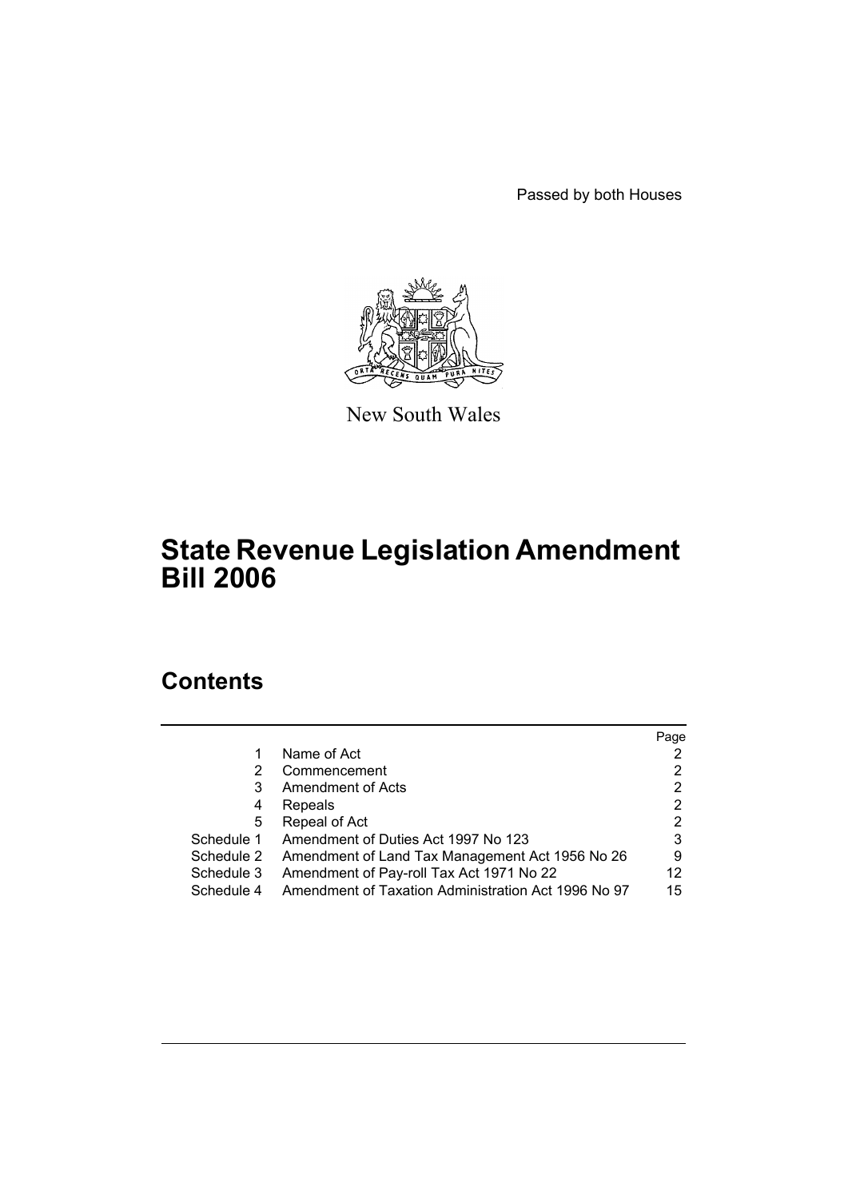Passed by both Houses



New South Wales

# **State Revenue Legislation Amendment Bill 2006**

# **Contents**

|            |                                                     | Page |
|------------|-----------------------------------------------------|------|
| 1          | Name of Act                                         |      |
| 2          | Commencement                                        | 2    |
| 3          | <b>Amendment of Acts</b>                            | 2    |
| 4          | Repeals                                             | 2    |
| 5          | Repeal of Act                                       | 2    |
| Schedule 1 | Amendment of Duties Act 1997 No 123                 | 3    |
| Schedule 2 | Amendment of Land Tax Management Act 1956 No 26     | 9    |
| Schedule 3 | Amendment of Pay-roll Tax Act 1971 No 22            | 12   |
| Schedule 4 | Amendment of Taxation Administration Act 1996 No 97 | 15   |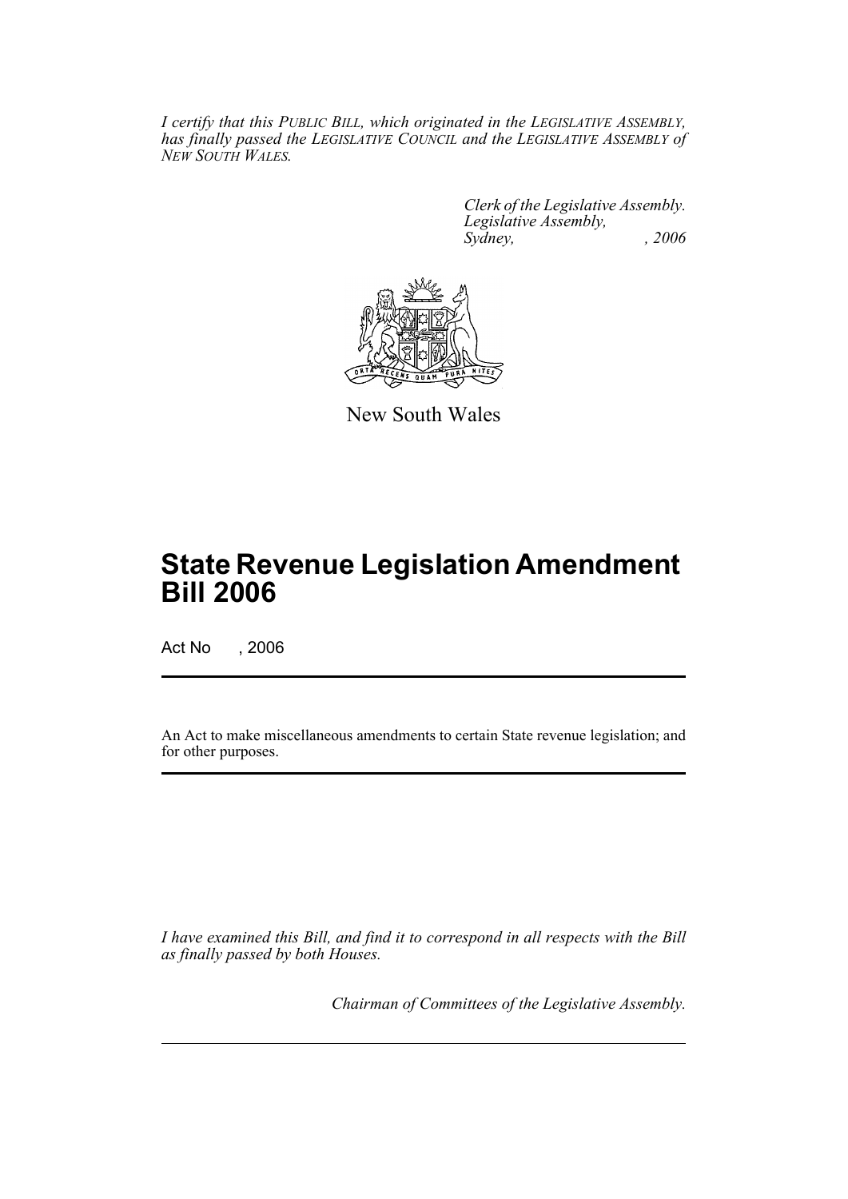*I certify that this PUBLIC BILL, which originated in the LEGISLATIVE ASSEMBLY, has finally passed the LEGISLATIVE COUNCIL and the LEGISLATIVE ASSEMBLY of NEW SOUTH WALES.*

> *Clerk of the Legislative Assembly. Legislative Assembly, Sydney, , 2006*



New South Wales

# **State Revenue Legislation Amendment Bill 2006**

Act No , 2006

An Act to make miscellaneous amendments to certain State revenue legislation; and for other purposes.

*I have examined this Bill, and find it to correspond in all respects with the Bill as finally passed by both Houses.*

*Chairman of Committees of the Legislative Assembly.*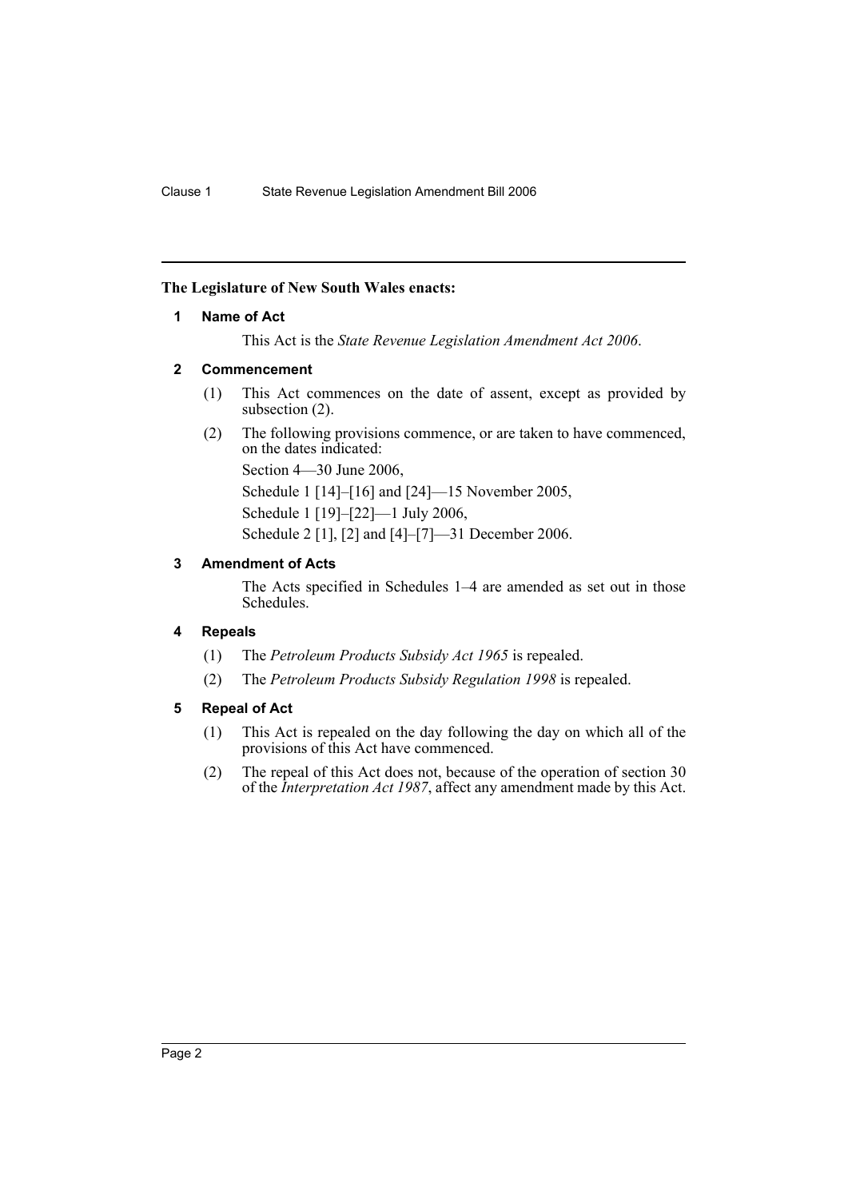### **The Legislature of New South Wales enacts:**

### **1 Name of Act**

This Act is the *State Revenue Legislation Amendment Act 2006*.

### **2 Commencement**

- (1) This Act commences on the date of assent, except as provided by subsection (2).
- (2) The following provisions commence, or are taken to have commenced, on the dates indicated:

Section 4—30 June 2006,

Schedule 1 [14]–[16] and [24]—15 November 2005,

Schedule 1 [19]–[22]—1 July 2006,

Schedule 2 [1], [2] and [4]–[7]—31 December 2006.

### **3 Amendment of Acts**

The Acts specified in Schedules 1–4 are amended as set out in those Schedules.

### **4 Repeals**

- (1) The *Petroleum Products Subsidy Act 1965* is repealed.
- (2) The *Petroleum Products Subsidy Regulation 1998* is repealed.

### **5 Repeal of Act**

- (1) This Act is repealed on the day following the day on which all of the provisions of this Act have commenced.
- (2) The repeal of this Act does not, because of the operation of section 30 of the *Interpretation Act 1987*, affect any amendment made by this Act.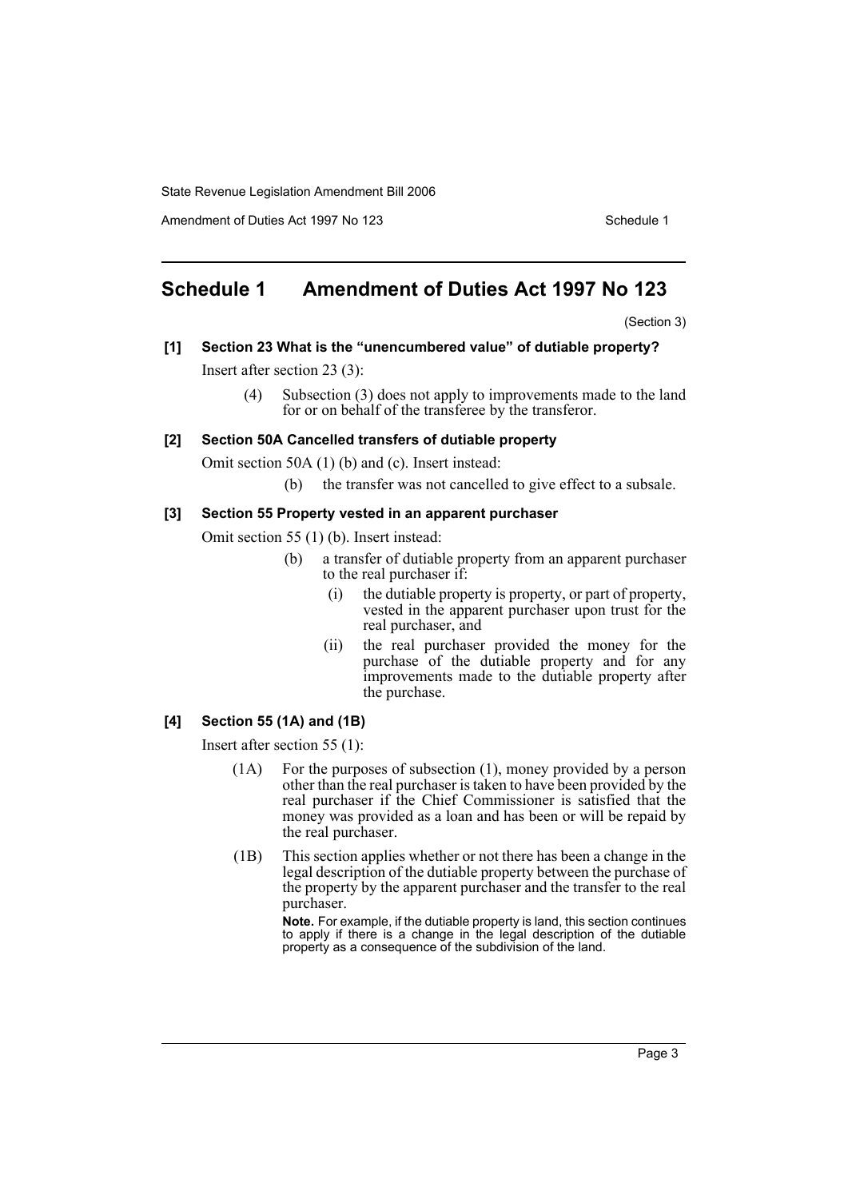Amendment of Duties Act 1997 No 123 Schedule 1

# **Schedule 1 Amendment of Duties Act 1997 No 123**

(Section 3)

**[1] Section 23 What is the "unencumbered value" of dutiable property?**

Insert after section 23 (3):

(4) Subsection (3) does not apply to improvements made to the land for or on behalf of the transferee by the transferor.

### **[2] Section 50A Cancelled transfers of dutiable property**

Omit section 50A (1) (b) and (c). Insert instead:

(b) the transfer was not cancelled to give effect to a subsale.

### **[3] Section 55 Property vested in an apparent purchaser**

Omit section 55 (1) (b). Insert instead:

- (b) a transfer of dutiable property from an apparent purchaser to the real purchaser if:
	- (i) the dutiable property is property, or part of property, vested in the apparent purchaser upon trust for the real purchaser, and
	- (ii) the real purchaser provided the money for the purchase of the dutiable property and for any improvements made to the dutiable property after the purchase.

### **[4] Section 55 (1A) and (1B)**

Insert after section 55 (1):

- (1A) For the purposes of subsection (1), money provided by a person other than the real purchaser is taken to have been provided by the real purchaser if the Chief Commissioner is satisfied that the money was provided as a loan and has been or will be repaid by the real purchaser.
- (1B) This section applies whether or not there has been a change in the legal description of the dutiable property between the purchase of the property by the apparent purchaser and the transfer to the real purchaser.

**Note.** For example, if the dutiable property is land, this section continues to apply if there is a change in the legal description of the dutiable property as a consequence of the subdivision of the land.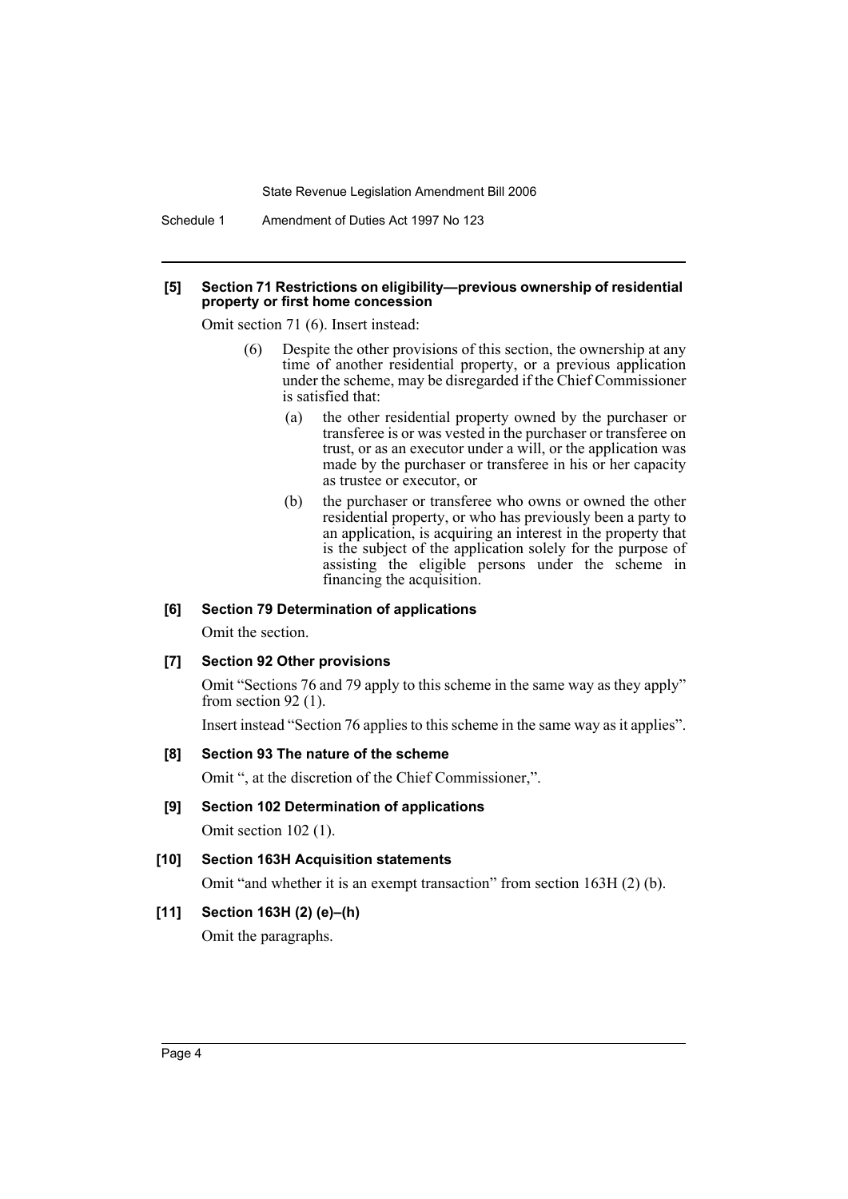Schedule 1 Amendment of Duties Act 1997 No 123

#### **[5] Section 71 Restrictions on eligibility—previous ownership of residential property or first home concession**

Omit section 71 (6). Insert instead:

- (6) Despite the other provisions of this section, the ownership at any time of another residential property, or a previous application under the scheme, may be disregarded if the Chief Commissioner is satisfied that:
	- (a) the other residential property owned by the purchaser or transferee is or was vested in the purchaser or transferee on trust, or as an executor under a will, or the application was made by the purchaser or transferee in his or her capacity as trustee or executor, or
	- (b) the purchaser or transferee who owns or owned the other residential property, or who has previously been a party to an application, is acquiring an interest in the property that is the subject of the application solely for the purpose of assisting the eligible persons under the scheme in financing the acquisition.

### **[6] Section 79 Determination of applications**

Omit the section.

### **[7] Section 92 Other provisions**

Omit "Sections 76 and 79 apply to this scheme in the same way as they apply" from section 92 (1).

Insert instead "Section 76 applies to this scheme in the same way as it applies".

### **[8] Section 93 The nature of the scheme**

Omit ", at the discretion of the Chief Commissioner,".

### **[9] Section 102 Determination of applications**

Omit section 102 (1).

### **[10] Section 163H Acquisition statements**

Omit "and whether it is an exempt transaction" from section 163H (2) (b).

### **[11] Section 163H (2) (e)–(h)**

Omit the paragraphs.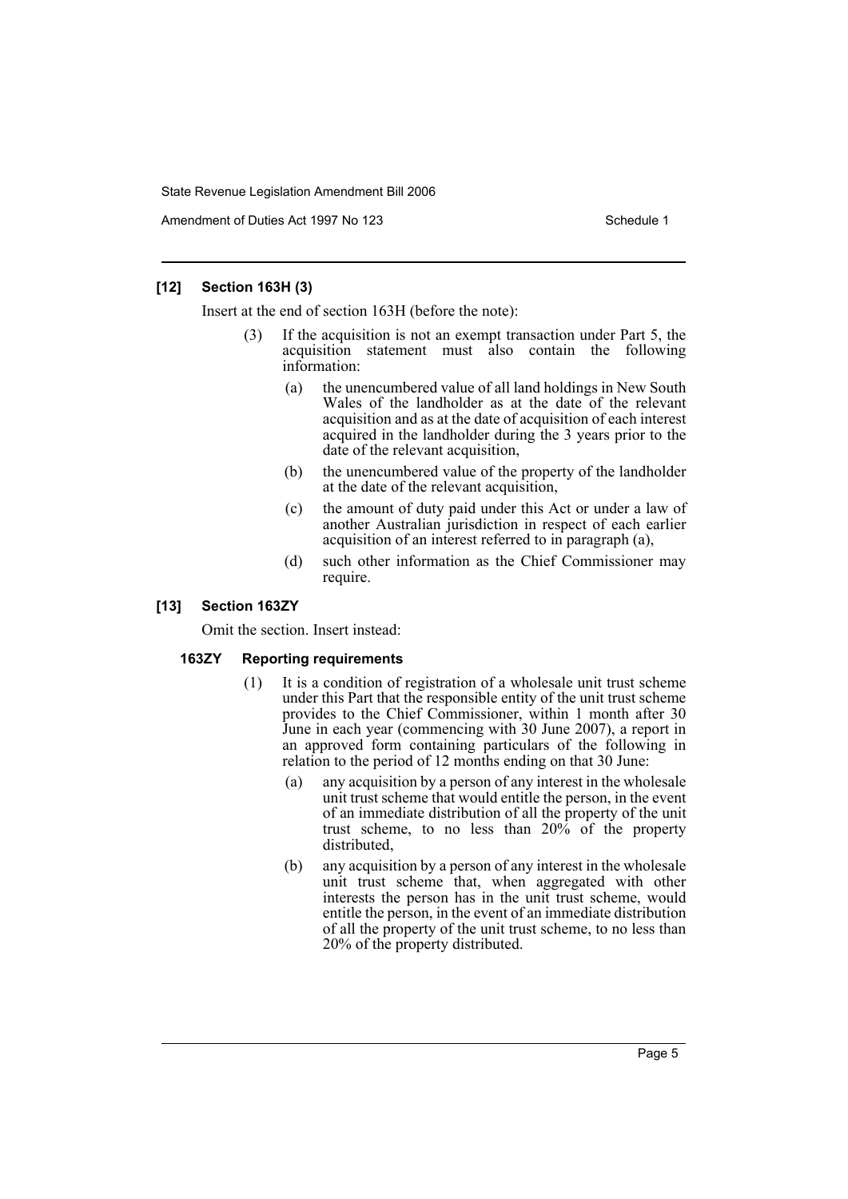Amendment of Duties Act 1997 No 123 Schedule 1

### **[12] Section 163H (3)**

Insert at the end of section 163H (before the note):

- If the acquisition is not an exempt transaction under Part 5, the acquisition statement must also contain the following information:
	- (a) the unencumbered value of all land holdings in New South Wales of the landholder as at the date of the relevant acquisition and as at the date of acquisition of each interest acquired in the landholder during the 3 years prior to the date of the relevant acquisition,
	- (b) the unencumbered value of the property of the landholder at the date of the relevant acquisition,
	- (c) the amount of duty paid under this Act or under a law of another Australian jurisdiction in respect of each earlier acquisition of an interest referred to in paragraph (a),
	- (d) such other information as the Chief Commissioner may require.

### **[13] Section 163ZY**

Omit the section. Insert instead:

### **163ZY Reporting requirements**

- (1) It is a condition of registration of a wholesale unit trust scheme under this Part that the responsible entity of the unit trust scheme provides to the Chief Commissioner, within 1 month after 30 June in each year (commencing with 30 June 2007), a report in an approved form containing particulars of the following in relation to the period of 12 months ending on that 30 June:
	- (a) any acquisition by a person of any interest in the wholesale unit trust scheme that would entitle the person, in the event of an immediate distribution of all the property of the unit trust scheme, to no less than 20% of the property distributed,
	- (b) any acquisition by a person of any interest in the wholesale unit trust scheme that, when aggregated with other interests the person has in the unit trust scheme, would entitle the person, in the event of an immediate distribution of all the property of the unit trust scheme, to no less than 20% of the property distributed.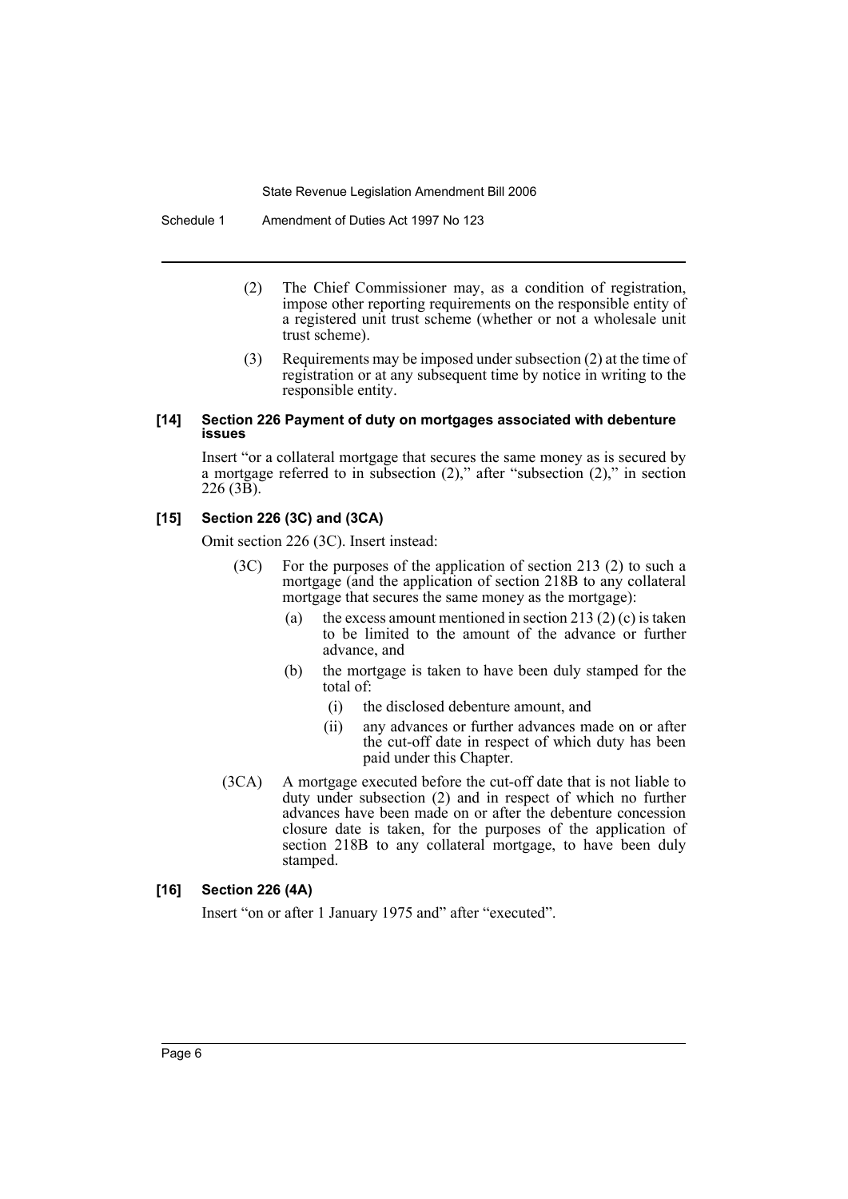Schedule 1 Amendment of Duties Act 1997 No 123

- (2) The Chief Commissioner may, as a condition of registration, impose other reporting requirements on the responsible entity of a registered unit trust scheme (whether or not a wholesale unit trust scheme).
- (3) Requirements may be imposed under subsection (2) at the time of registration or at any subsequent time by notice in writing to the responsible entity.

### **[14] Section 226 Payment of duty on mortgages associated with debenture issues**

Insert "or a collateral mortgage that secures the same money as is secured by a mortgage referred to in subsection (2)," after "subsection (2)," in section 226 (3B).

### **[15] Section 226 (3C) and (3CA)**

Omit section 226 (3C). Insert instead:

- (3C) For the purposes of the application of section 213 (2) to such a mortgage (and the application of section 218B to any collateral mortgage that secures the same money as the mortgage):
	- (a) the excess amount mentioned in section 213 (2) (c) is taken to be limited to the amount of the advance or further advance, and
	- (b) the mortgage is taken to have been duly stamped for the total of:
		- (i) the disclosed debenture amount, and
		- (ii) any advances or further advances made on or after the cut-off date in respect of which duty has been paid under this Chapter.
- (3CA) A mortgage executed before the cut-off date that is not liable to duty under subsection (2) and in respect of which no further advances have been made on or after the debenture concession closure date is taken, for the purposes of the application of section 218B to any collateral mortgage, to have been duly stamped.

### **[16] Section 226 (4A)**

Insert "on or after 1 January 1975 and" after "executed".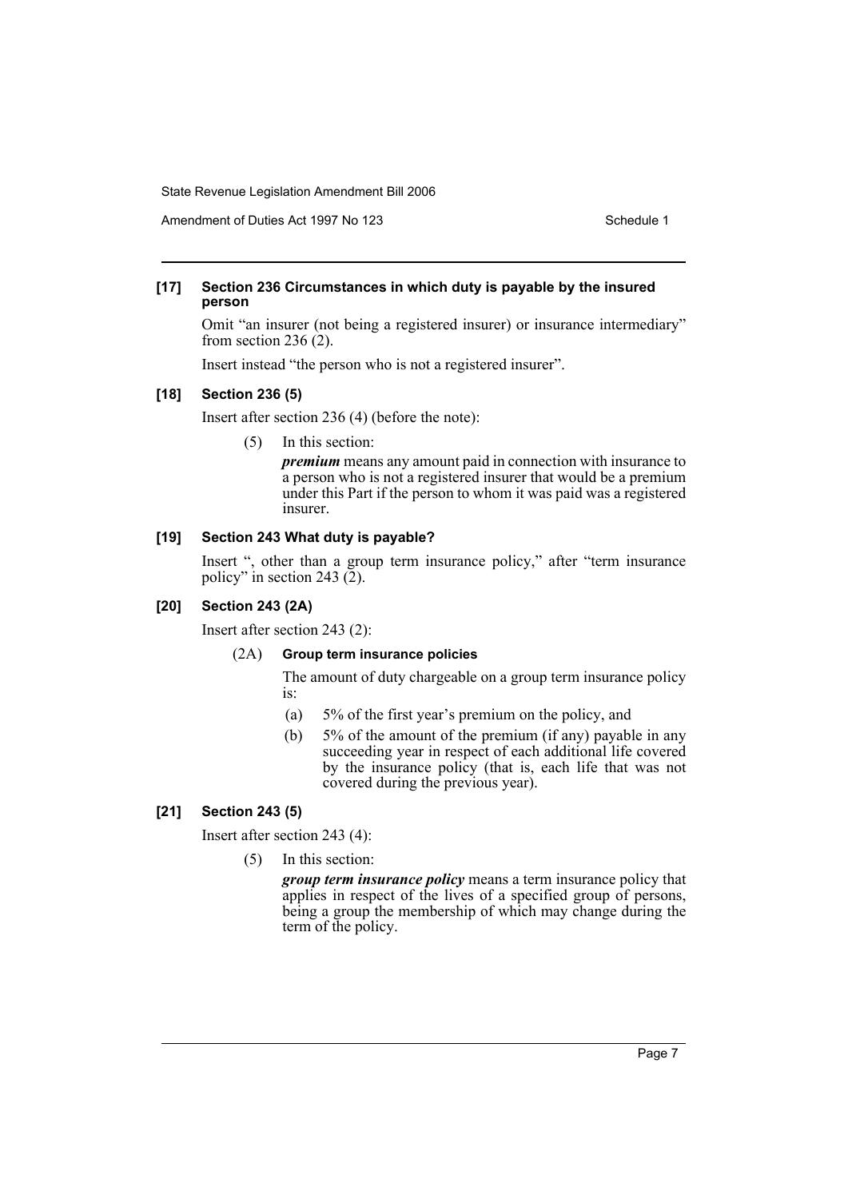Amendment of Duties Act 1997 No 123 Schedule 1

### **[17] Section 236 Circumstances in which duty is payable by the insured person**

Omit "an insurer (not being a registered insurer) or insurance intermediary" from section 236 (2).

Insert instead "the person who is not a registered insurer".

### **[18] Section 236 (5)**

Insert after section 236 (4) (before the note):

(5) In this section:

*premium* means any amount paid in connection with insurance to a person who is not a registered insurer that would be a premium under this Part if the person to whom it was paid was a registered insurer.

### **[19] Section 243 What duty is payable?**

Insert ", other than a group term insurance policy," after "term insurance policy" in section 243 (2).

### **[20] Section 243 (2A)**

Insert after section 243 (2):

### (2A) **Group term insurance policies**

The amount of duty chargeable on a group term insurance policy is:

- (a) 5% of the first year's premium on the policy, and
- (b) 5% of the amount of the premium (if any) payable in any succeeding year in respect of each additional life covered by the insurance policy (that is, each life that was not covered during the previous year).

### **[21] Section 243 (5)**

Insert after section 243 (4):

(5) In this section:

*group term insurance policy* means a term insurance policy that applies in respect of the lives of a specified group of persons, being a group the membership of which may change during the term of the policy.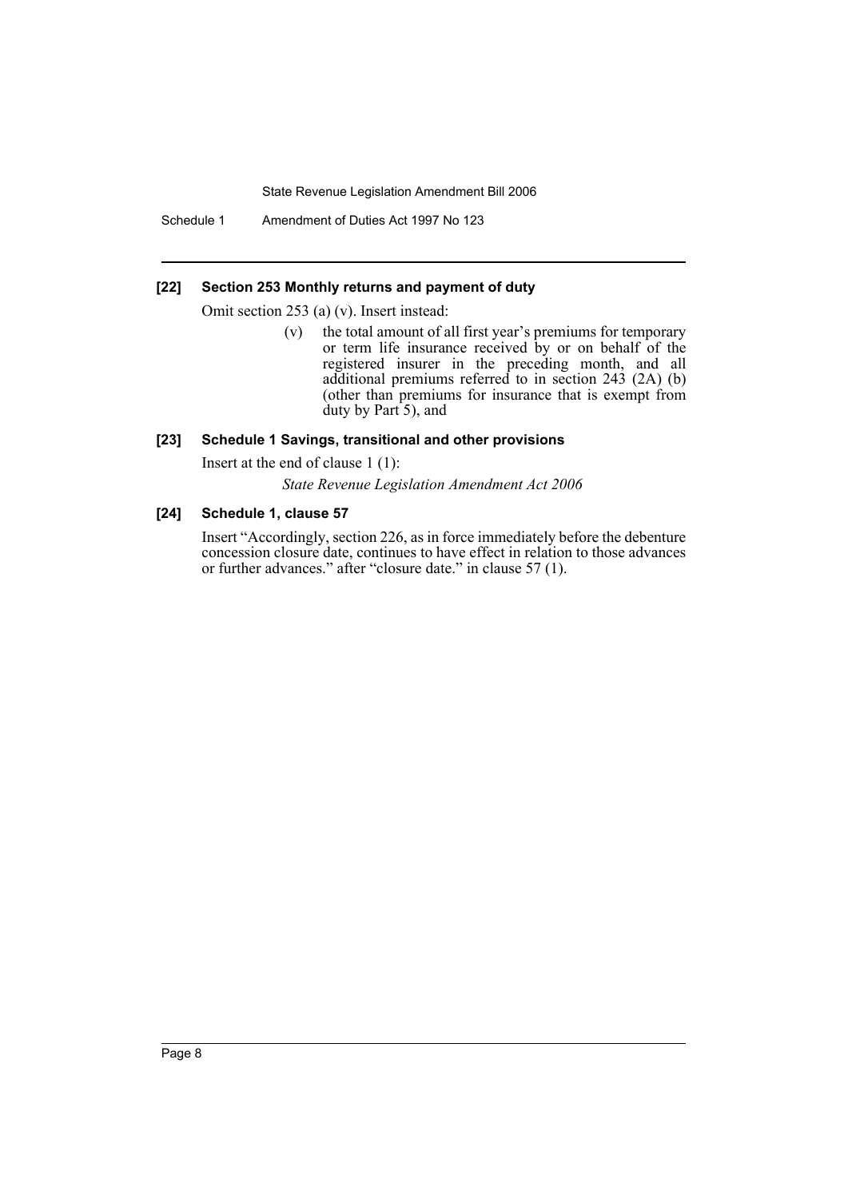Schedule 1 Amendment of Duties Act 1997 No 123

### **[22] Section 253 Monthly returns and payment of duty**

Omit section 253 (a) (v). Insert instead:

(v) the total amount of all first year's premiums for temporary or term life insurance received by or on behalf of the registered insurer in the preceding month, and all additional premiums referred to in section 243 (2A) (b) (other than premiums for insurance that is exempt from  $d$ uty by Part 5), and

### **[23] Schedule 1 Savings, transitional and other provisions**

Insert at the end of clause 1 (1):

*State Revenue Legislation Amendment Act 2006*

### **[24] Schedule 1, clause 57**

Insert "Accordingly, section 226, as in force immediately before the debenture concession closure date, continues to have effect in relation to those advances or further advances." after "closure date." in clause 57 (1).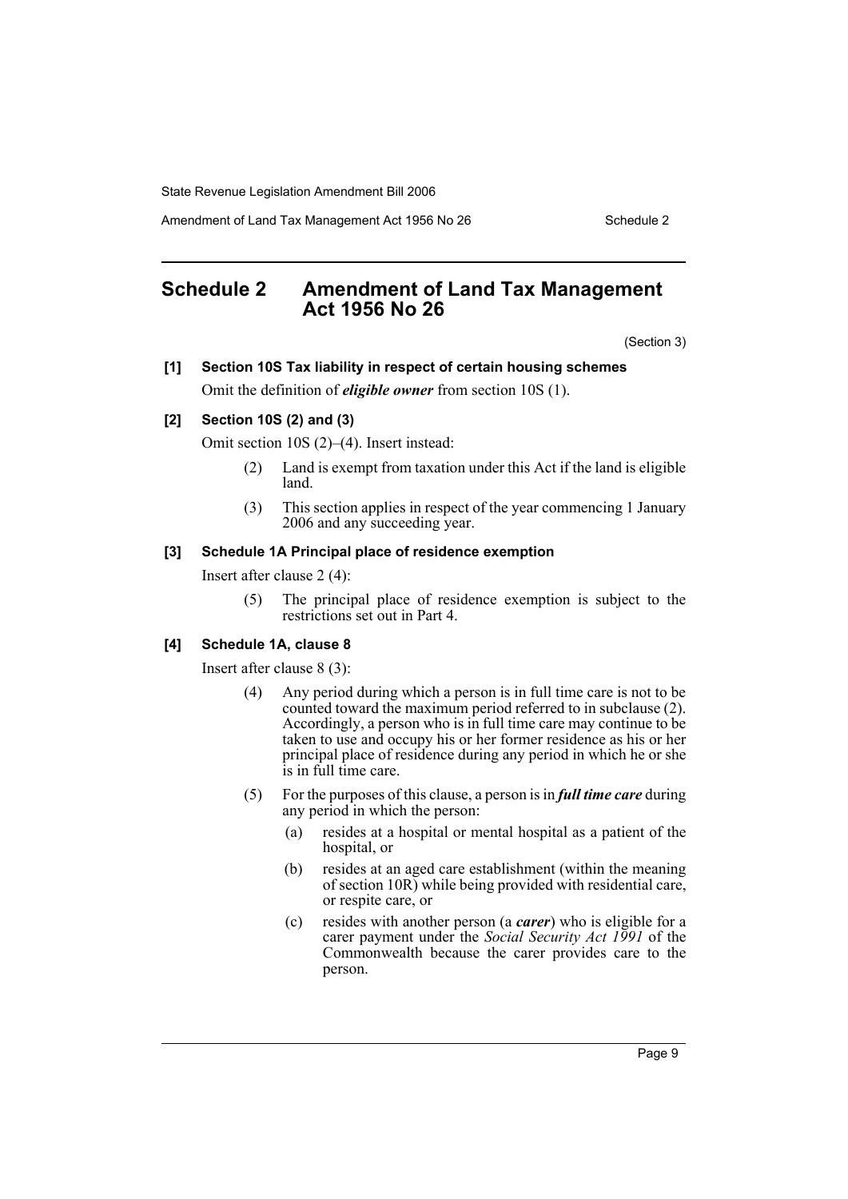Amendment of Land Tax Management Act 1956 No 26 Schedule 2

# **Schedule 2 Amendment of Land Tax Management Act 1956 No 26**

(Section 3)

# **[1] Section 10S Tax liability in respect of certain housing schemes** Omit the definition of *eligible owner* from section 10S (1).

## **[2] Section 10S (2) and (3)**

Omit section 10S (2)–(4). Insert instead:

- (2) Land is exempt from taxation under this Act if the land is eligible land.
- (3) This section applies in respect of the year commencing 1 January 2006 and any succeeding year.

### **[3] Schedule 1A Principal place of residence exemption**

Insert after clause 2 (4):

(5) The principal place of residence exemption is subject to the restrictions set out in Part 4.

#### **[4] Schedule 1A, clause 8**

Insert after clause 8 (3):

- (4) Any period during which a person is in full time care is not to be counted toward the maximum period referred to in subclause (2). Accordingly, a person who is in full time care may continue to be taken to use and occupy his or her former residence as his or her principal place of residence during any period in which he or she is in full time care.
- (5) For the purposes of this clause, a person is in *full time care* during any period in which the person:
	- (a) resides at a hospital or mental hospital as a patient of the hospital, or
	- (b) resides at an aged care establishment (within the meaning of section 10R) while being provided with residential care, or respite care, or
	- (c) resides with another person (a *carer*) who is eligible for a carer payment under the *Social Security Act 1991* of the Commonwealth because the carer provides care to the person.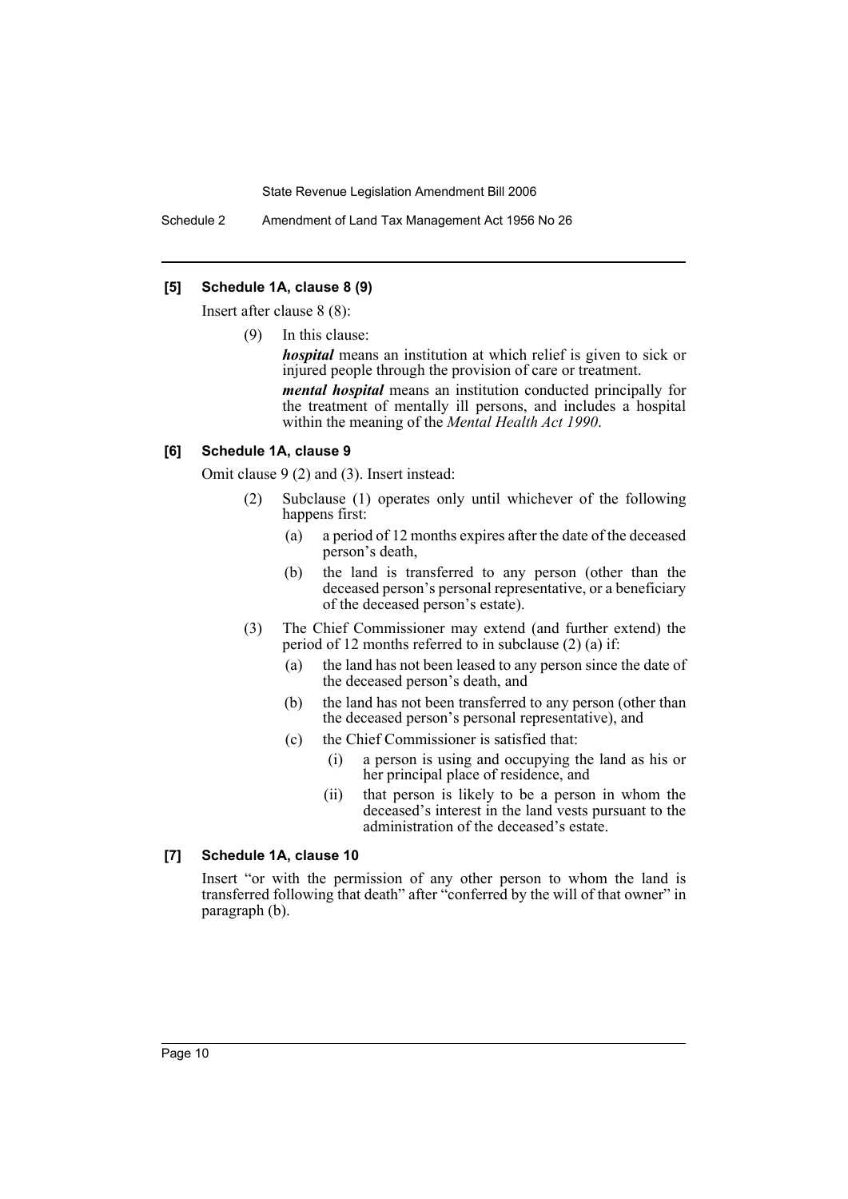Schedule 2 Amendment of Land Tax Management Act 1956 No 26

### **[5] Schedule 1A, clause 8 (9)**

Insert after clause 8 (8):

(9) In this clause:

*hospital* means an institution at which relief is given to sick or injured people through the provision of care or treatment.

*mental hospital* means an institution conducted principally for the treatment of mentally ill persons, and includes a hospital within the meaning of the *Mental Health Act 1990*.

#### **[6] Schedule 1A, clause 9**

Omit clause 9 (2) and (3). Insert instead:

- (2) Subclause (1) operates only until whichever of the following happens first:
	- (a) a period of 12 months expires after the date of the deceased person's death,
	- (b) the land is transferred to any person (other than the deceased person's personal representative, or a beneficiary of the deceased person's estate).
- (3) The Chief Commissioner may extend (and further extend) the period of 12 months referred to in subclause (2) (a) if:
	- (a) the land has not been leased to any person since the date of the deceased person's death, and
	- (b) the land has not been transferred to any person (other than the deceased person's personal representative), and
	- (c) the Chief Commissioner is satisfied that:
		- (i) a person is using and occupying the land as his or her principal place of residence, and
		- (ii) that person is likely to be a person in whom the deceased's interest in the land vests pursuant to the administration of the deceased's estate.

### **[7] Schedule 1A, clause 10**

Insert "or with the permission of any other person to whom the land is transferred following that death" after "conferred by the will of that owner" in paragraph (b).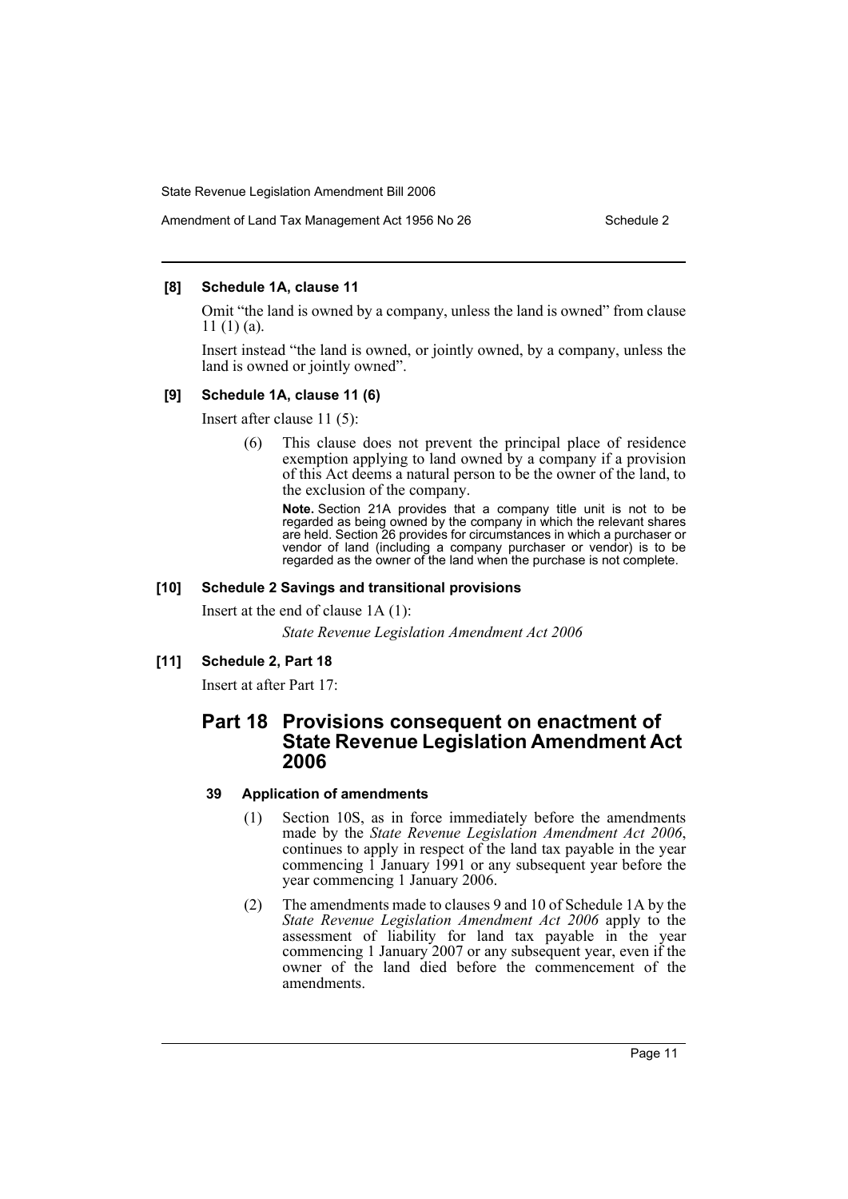# Amendment of Land Tax Management Act 1956 No 26 Schedule 2

### **[8] Schedule 1A, clause 11**

Omit "the land is owned by a company, unless the land is owned" from clause 11 (1) (a).

Insert instead "the land is owned, or jointly owned, by a company, unless the land is owned or jointly owned".

### **[9] Schedule 1A, clause 11 (6)**

Insert after clause 11 (5):

(6) This clause does not prevent the principal place of residence exemption applying to land owned by a company if a provision of this Act deems a natural person to be the owner of the land, to the exclusion of the company.

**Note.** Section 21A provides that a company title unit is not to be regarded as being owned by the company in which the relevant shares are held. Section 26 provides for circumstances in which a purchaser or vendor of land (including a company purchaser or vendor) is to be regarded as the owner of the land when the purchase is not complete.

### **[10] Schedule 2 Savings and transitional provisions**

Insert at the end of clause 1A (1):

*State Revenue Legislation Amendment Act 2006*

### **[11] Schedule 2, Part 18**

Insert at after Part 17:

# **Part 18 Provisions consequent on enactment of State Revenue Legislation Amendment Act 2006**

### **39 Application of amendments**

- (1) Section 10S, as in force immediately before the amendments made by the *State Revenue Legislation Amendment Act 2006*, continues to apply in respect of the land tax payable in the year commencing 1 January 1991 or any subsequent year before the year commencing 1 January 2006.
- (2) The amendments made to clauses 9 and 10 of Schedule 1A by the *State Revenue Legislation Amendment Act 2006* apply to the assessment of liability for land tax payable in the year commencing 1 January 2007 or any subsequent year, even if the owner of the land died before the commencement of the amendments.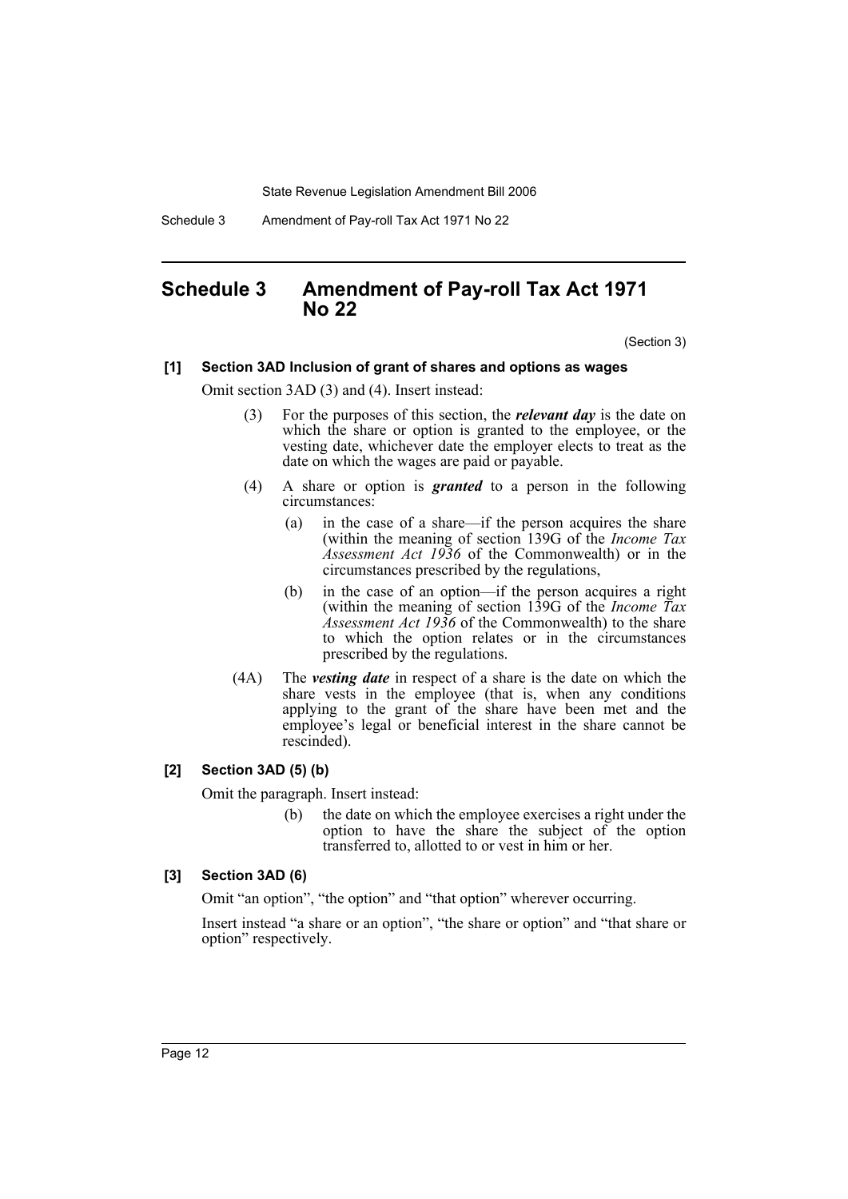Schedule 3 Amendment of Pay-roll Tax Act 1971 No 22

# **Schedule 3 Amendment of Pay-roll Tax Act 1971 No 22**

(Section 3)

### **[1] Section 3AD Inclusion of grant of shares and options as wages**

Omit section 3AD (3) and (4). Insert instead:

- (3) For the purposes of this section, the *relevant day* is the date on which the share or option is granted to the employee, or the vesting date, whichever date the employer elects to treat as the date on which the wages are paid or payable.
- (4) A share or option is *granted* to a person in the following circumstances:
	- (a) in the case of a share—if the person acquires the share (within the meaning of section 139G of the *Income Tax Assessment Act 1936* of the Commonwealth) or in the circumstances prescribed by the regulations,
	- (b) in the case of an option—if the person acquires a right (within the meaning of section 139G of the *Income Tax Assessment Act 1936* of the Commonwealth) to the share to which the option relates or in the circumstances prescribed by the regulations.
- (4A) The *vesting date* in respect of a share is the date on which the share vests in the employee (that is, when any conditions applying to the grant of the share have been met and the employee's legal or beneficial interest in the share cannot be rescinded).

### **[2] Section 3AD (5) (b)**

Omit the paragraph. Insert instead:

(b) the date on which the employee exercises a right under the option to have the share the subject of the option transferred to, allotted to or vest in him or her.

### **[3] Section 3AD (6)**

Omit "an option", "the option" and "that option" wherever occurring.

Insert instead "a share or an option", "the share or option" and "that share or option" respectively.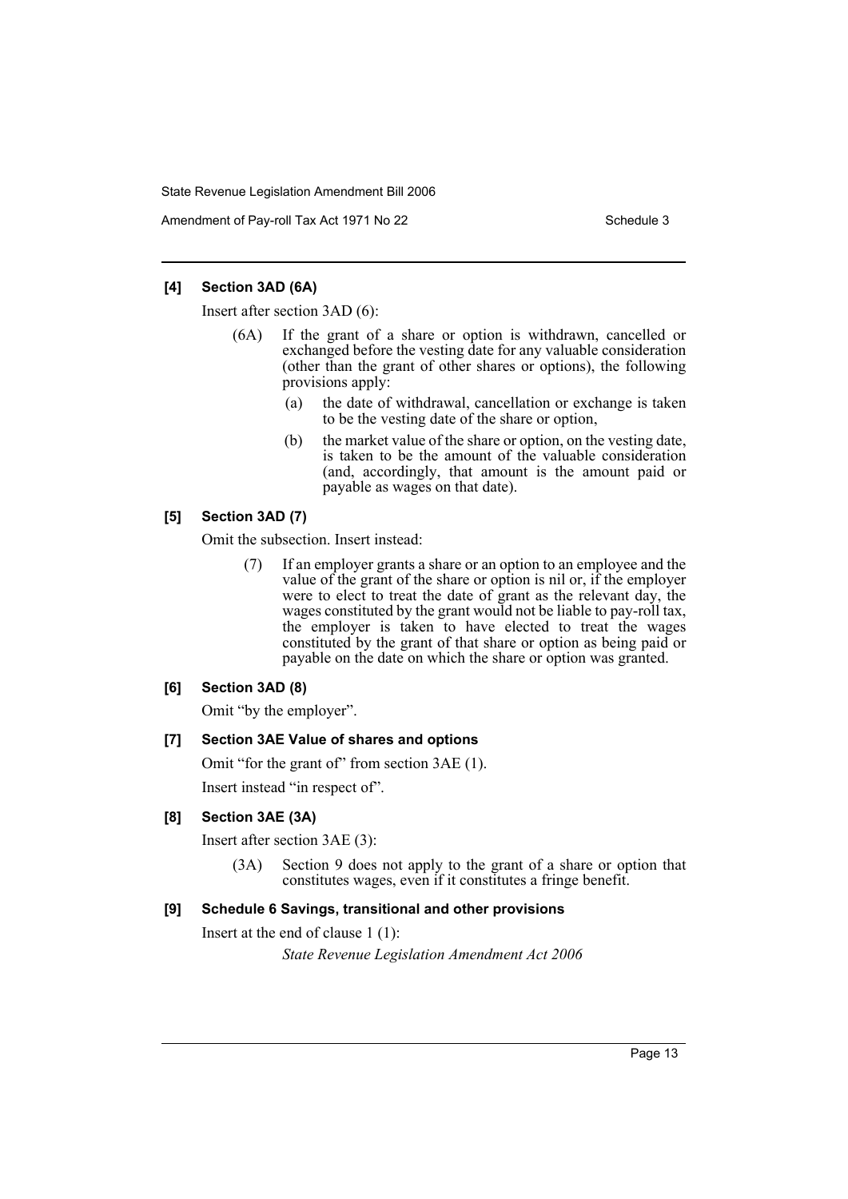Amendment of Pay-roll Tax Act 1971 No 22 Schedule 3

### **[4] Section 3AD (6A)**

Insert after section 3AD (6):

- (6A) If the grant of a share or option is withdrawn, cancelled or exchanged before the vesting date for any valuable consideration (other than the grant of other shares or options), the following provisions apply:
	- (a) the date of withdrawal, cancellation or exchange is taken to be the vesting date of the share or option,
	- (b) the market value of the share or option, on the vesting date, is taken to be the amount of the valuable consideration (and, accordingly, that amount is the amount paid or payable as wages on that date).

### **[5] Section 3AD (7)**

Omit the subsection. Insert instead:

(7) If an employer grants a share or an option to an employee and the value of the grant of the share or option is nil or, if the employer were to elect to treat the date of grant as the relevant day, the wages constituted by the grant would not be liable to pay-roll tax, the employer is taken to have elected to treat the wages constituted by the grant of that share or option as being paid or payable on the date on which the share or option was granted.

### **[6] Section 3AD (8)**

Omit "by the employer".

## **[7] Section 3AE Value of shares and options**

Omit "for the grant of" from section 3AE (1).

Insert instead "in respect of".

# **[8] Section 3AE (3A)**

Insert after section 3AE (3):

(3A) Section 9 does not apply to the grant of a share or option that constitutes wages, even if it constitutes a fringe benefit.

## **[9] Schedule 6 Savings, transitional and other provisions**

Insert at the end of clause 1 (1):

*State Revenue Legislation Amendment Act 2006*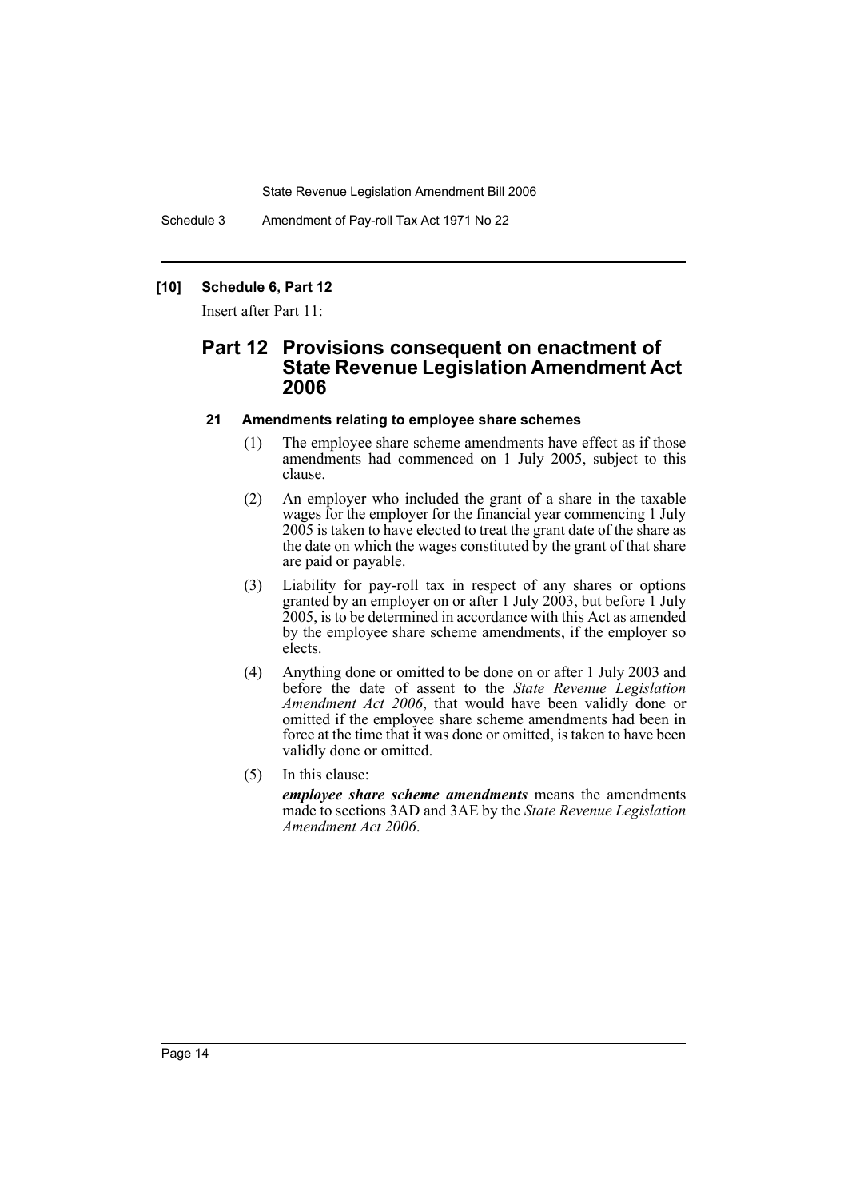Schedule 3 Amendment of Pay-roll Tax Act 1971 No 22

### **[10] Schedule 6, Part 12**

Insert after Part 11:

# **Part 12 Provisions consequent on enactment of State Revenue Legislation Amendment Act 2006**

### **21 Amendments relating to employee share schemes**

- (1) The employee share scheme amendments have effect as if those amendments had commenced on 1 July 2005, subject to this clause.
- (2) An employer who included the grant of a share in the taxable wages for the employer for the financial year commencing 1 July 2005 is taken to have elected to treat the grant date of the share as the date on which the wages constituted by the grant of that share are paid or payable.
- (3) Liability for pay-roll tax in respect of any shares or options granted by an employer on or after 1 July 2003, but before 1 July 2005, is to be determined in accordance with this Act as amended by the employee share scheme amendments, if the employer so elects.
- (4) Anything done or omitted to be done on or after 1 July 2003 and before the date of assent to the *State Revenue Legislation Amendment Act 2006*, that would have been validly done or omitted if the employee share scheme amendments had been in force at the time that it was done or omitted, is taken to have been validly done or omitted.
- (5) In this clause:

*employee share scheme amendments* means the amendments made to sections 3AD and 3AE by the *State Revenue Legislation Amendment Act 2006*.